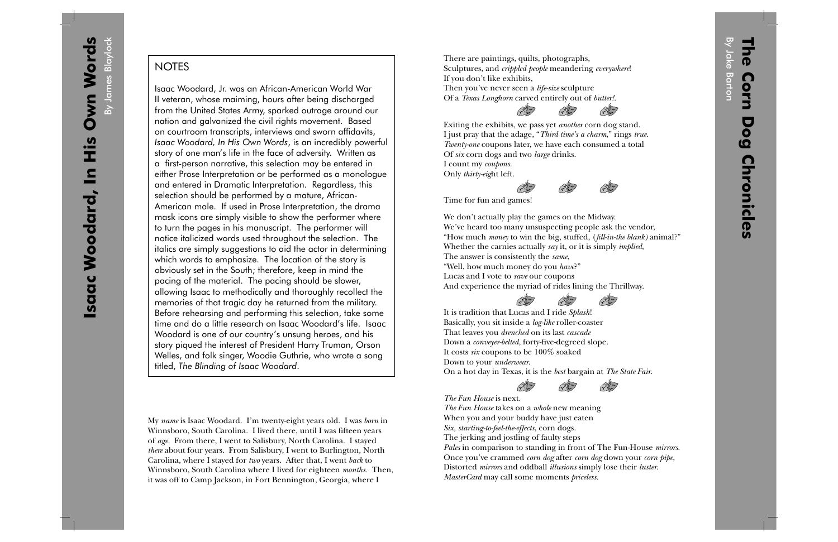By James BlaylockBy James Blaylock

## **NOTES**

Isaac Woodard, Jr. was an African-American World War II veteran, whose maiming, hours after being discharged from the United States Army, sparked outrage around our nation and galvanized the civil rights movement. Based on courtroom transcripts, interviews and sworn affidavits, *Isaac Woodard, In His Own Words*, is an incredibly powerful story of one man's life in the face of adversity. Written as a first-person narrative, this selection may be entered in either Prose Interpretation or be performed as a monologue and entered in Dramatic Interpretation. Regardless, this selection should be performed by a mature, African-American male. If used in Prose Interpretation, the drama mask icons are simply visible to show the performer where to turn the pages in his manuscript. The performer will notice italicized words used throughout the selection. The italics are simply suggestions to aid the actor in determining which words to emphasize. The location of the story is obviously set in the South; therefore, keep in mind the pacing of the material. The pacing should be slower, allowing Isaac to methodically and thoroughly recollect the memories of that tragic day he returned from the military. Before rehearsing and performing this selection, take some time and do a little research on Isaac Woodard's life. Isaac Woodard is one of our country's unsung heroes, and his story piqued the interest of President Harry Truman, Orson Welles, and folk singer, Woodie Guthrie, who wrote a song titled, *The Blinding of Isaac Woodard*.

My *name* is Isaac Woodard. I'm twenty-eight years old. I was *born* in Winnsboro, South Carolina. I lived there, until I was fifteen years of *age.* From there, I went to Salisbury, North Carolina. I stayed *there* about four years. From Salisbury, I went to Burlington, North Carolina, where I stayed for *two* years. After that, I went *back* to Winnsboro, South Carolina where I lived for eighteen *months.* Then, it was off to Camp Jackson, in Fort Bennington, Georgia, where I